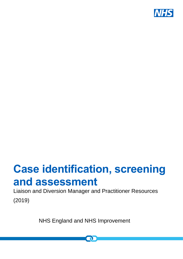

# **Case identification, screening and assessment**

Liaison and Diversion Manager and Practitioner Resources (2019)

NHS England and NHS Improvement

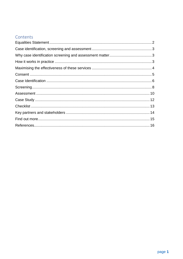## Contents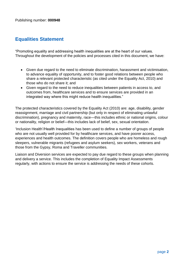# <span id="page-2-0"></span>**Equalities Statement**

"Promoting equality and addressing health inequalities are at the heart of our values. Throughout the development of the policies and processes cited in this document, we have:

- Given due regard to the need to eliminate discrimination, harassment and victimisation, to advance equality of opportunity, and to foster good relations between people who share a relevant protected characteristic (as cited under the Equality Act, 2010) and those who do not share it; and
- Given regard to the need to reduce inequalities between patients in access to, and outcomes from, healthcare services and to ensure services are provided in an integrated way where this might reduce health inequalities."

The protected characteristics covered by the Equality Act (2010) are: age, disability, gender reassignment, marriage and civil partnership (but only in respect of eliminating unlawful discrimination), pregnancy and maternity, race—this includes ethnic or national origins, colour or nationality, religion or belief—this includes lack of belief, sex, sexual orientation.

'Inclusion Health'/Health Inequalities has been used to define a number of groups of people who are not usually well provided for by healthcare services, and have poorer access, experiences and health outcomes. The definition covers people who are homeless and rough sleepers, vulnerable migrants (refugees and asylum seekers), sex workers, veterans and those from the Gypsy, Roma and Traveller communities.

Liaison and Diversion services are expected to pay due regard to these groups when planning and delivery a service. This includes the completion of Equality Impact Assessments regularly, with actions to ensure the service is addressing the needs of these cohorts.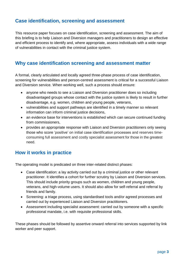## <span id="page-3-0"></span>**Case identification, screening and assessment**

This resource paper focuses on case identification, screening and assessment. The aim of this briefing is to help Liaison and Diversion managers and practitioners to design an effective and efficient process to identify and, where appropriate, assess individuals with a wide range of vulnerabilities in contact with the criminal justice system.

## <span id="page-3-1"></span>**Why case identification screening and assessment matter**

A formal, clearly articulated and locally agreed three-phase process of case identification, screening for vulnerabilities and person-centred assessment is critical for a successful Liaison and Diversion service. When working well, such a process should ensure:

- anyone who needs to see a Liaison and Diversion practitioner does so including disadvantaged groups whose contact with the justice system is likely to result in further disadvantage, e.g. women, children and young people, veterans,
- vulnerabilities and support pathways are identified in a timely manner so relevant information can inform criminal justice decisions,
- an evidence base for interventions is established which can secure continued funding from commissioners,
- provides an appropriate response with Liaison and Diversion practitioners only seeing those who score 'positive' on initial case identification processes and reserves timeconsuming full assessment and costly specialist assessment for those in the greatest need.

## <span id="page-3-2"></span>**How it works in practice**

The operating model is predicated on three inter-related distinct phases:

- Case identification: a lay activity carried out by a criminal justice or other relevant practitioner. It identifies a cohort for further scrutiny by Liaison and Diversion services. This should include priority groups such as women, children and young people, veterans, and high-volume users. It should also allow for self-referral and referral by friends and family.
- Screening: a triage process, using standardised tools and/or agreed processes and carried out by experienced Liaison and Diversion practitioners.
- Assessment including specialist assessment: carried out by someone with a specific professional mandate, i.e. with requisite professional skills.

These phases should be followed by assertive onward referral into services supported by link worker and peer support.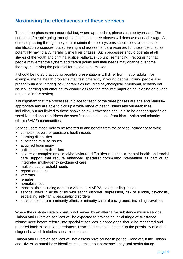## <span id="page-4-0"></span>**Maximising the effectiveness of these services**

These three phases are sequential but, where appropriate, phases can be bypassed. The numbers of people going through each of these three phases will decrease at each stage. All of those passing through the youth or criminal justice systems should be subject to case identification processes, but screening and assessment are reserved for those identified as potentially having a vulnerability in earlier phases. Such processes should operate at all stages of the youth and criminal justice pathways (up until sentencing); recognising that people may enter the system at different points and their needs may change over time, thereby minimising the potential for people to be missed.

It should be noted that young people's presentations will differ from that of adults. For example, mental health problems manifest differently in young people. Young people also present with a 'clustering' of vulnerabilities including psychological, emotional, behavioural issues, learning and other neuro-disabilities (see the resource paper on developing an all-age response in this series).

It is important that the processes in place for each of the three phases are age and maturityappropriate and are able to pick up a wide range of health issues and vulnerabilities, including, but not limited to those shown below. Processes should also be gender-specific or sensitive and should address the specific needs of people from black, Asian and minority ethnic (BAME) communities.

Service users most likely to be referred to and benefit from the service include those with;

- **EXECOMPLEX, Severe or persistent health needs**
- **EXECUTE:** learning disabilities
- **substance misuse issues**
- acquired brain injury
- autism spectrum disorders
- severe or complex emotional/behavioural difficulties requiring a mental health and social care support that require enhanced specialist community intervention as part of an integrated multi-agency package of care
- multiple sub-threshold needs
- **F** repeat offenders
- veterans
- **F** females
- **•** homelessness
- those at risk including domestic violence, MAPPA, safeguarding issues
- service users in acute crisis with eating disorder, depression, risk of suicide, psychosis, escalating self-harm, personality disorders
- service users from a minority ethnic or minority cultural background, including travellers

Where the custody suite or court is not served by an alternative substance misuse service, Liaison and Diversion services will be expected to provide an initial triage of substance misuse need before referral into specialist services. Service gaps should be monitored and reported back to local commissioners. Practitioners should be alert to the possibility of a dual diagnosis, which includes substance misuse.

Liaison and Diversion services will not assess physical health per se. However, if the Liaison and Diversion practitioner identifies concerns about someone's physical health during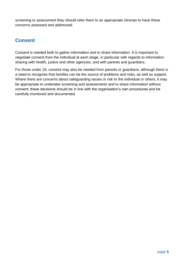screening or assessment they should refer them to an appropriate clinician to have these concerns assessed and addressed.

# <span id="page-5-0"></span>**Consent**

Consent is needed both to gather information and to share information. It is important to negotiate consent from the individual at each stage, in particular with regards to information sharing with health, justice and other agencies, and with parents and guardians.

For those under 18, consent may also be needed from parents or guardians; although there is a need to recognise that families can be the source of problems and risks, as well as support. Where there are concerns about safeguarding issues or risk to the individual or others, it may be appropriate to undertake screening and assessments and to share information without consent; these decisions should be in line with the organisation's own procedures and be carefully monitored and documented.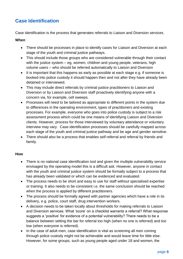# <span id="page-6-0"></span>**Case Identification**

Case identification is the process that generates referrals to Liaison and Diversion services.

#### **When**

- There should be processes in place to identify cases for Liaison and Diversion at each stage of the youth and criminal justice pathways.
- This should include those groups who are considered vulnerable through their contact with the justice system – eg, women, children and young people, veterans, high volume users – who should be referred automatically to Liaison and Diversion
- It is important that this happens as early as possible at each stage e.g. if someone is booked into police custody it should happen then and not after they have already been detained or interviewed.
- This may include direct referrals by criminal justice practitioners to Liaison and Diversion or by Liaison and Diversion staff proactively identifying anyone with a concern via, for example, cell sweeps.
- Processes will need to be tailored as appropriate to different points in the system due to differences in the operating environment, types of practitioners and existing processes. For example, everyone who goes into police custody is subject to a risk assessment process which could be one means of identifying Liaison and Diversion clients. However, process for those interviewed by voluntary attendance or voluntary interview may vary. Case identification processes should be carefully mapped across each stage of the youth and criminal justice pathway and be age and gender sensitive.
- There should also be a process that enables self-referral and referral by friends and family.

## **How**

- There is no national case identification tool and given the multiple vulnerability service envisaged by the operating model this is a difficult ask. However, anyone in contact with the youth and criminal justice system should be formally subject to a process that has already been validated or which can be evidenced and evaluated.
- The process needs to be short and easy to use for staff without specialised expertise or training. It also needs to be consistent i.e. the same conclusion should be reached when the process is applied by different practitioners.
- The process should be formally agreed with partner agencies which have a role in its delivery, e.g. police, court staff, drug intervention workers.
- A decision needs to be taken locally about thresholds for making referrals to Liaison and Diversion services. What 'score' on a checklist warrants a referral? What response suggests a 'positive' for evidence of a potential vulnerability? There needs to be a balance between setting the bar for referral too high (when no one is referred) and too low (when everyone is referred).
- In the case of adult men, case identification is vital as screening all men coming through police custody might not be achievable and would leave time for little else. However, for some groups, such as young people aged under 18 and women, the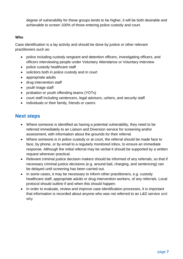degree of vulnerability for these groups tends to be higher, it will be both desirable and achievable to screen 100% of those entering police custody and court.

#### **Who**

Case identification is a lay activity and should be done by justice or other relevant practitioners such as:

- police including custody sergeant and detention officers, investigating officers, and officers interviewing people under Voluntary Attendance or Voluntary Interview
- police custody healthcare staff
- solicitors both in police custody and in court
- appropriate adults
- drug intervention staff
- youth triage staff
- probation or youth offending teams (YOTs)
- court staff including sentencers, legal advisors, ushers, and security staff
- individuals or their family, friends or carers

## **Next steps**

- Where someone is identified as having a potential vulnerability, they need to be referred immediately to an Liaison and Diversion service for screening and/or assessment, with information about the grounds for their referral.
- Where someone is in police custody or at court, the referral should be made face to face, by phone, or by email to a regularly monitored inbox, to ensure an immediate response. Although the initial referral may be verbal it should be supported by a written request wherever practical.
- Relevant criminal justice decision makers should be informed of any referrals, so that if necessary criminal justice decisions (e.g. around bail, charging, and sentencing) can be delayed until screening has been carried out.
- In some cases, it may be necessary to inform other practitioners, e.g. custody healthcare staff, appropriate adults or drug intervention workers, of any referrals. Local protocol should outline if and when this should happen.
- In order to evaluate, review and improve case identification processes, it is important that information is recorded about anyone who was not referred to an L&D service and why.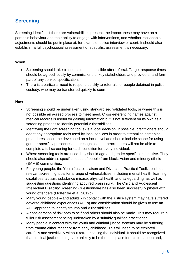# <span id="page-8-0"></span>**Screening**

Screening identifies if there are vulnerabilities present, the impact these may have on a person's behaviour and their ability to engage with interventions, and whether reasonable adjustments should be put in place at, for example, police interview or court. It should also establish if a full psychosocial assessment or specialist assessment is necessary.

#### **When**

- Screening should take place as soon as possible after referral. Target response times should be agreed locally by commissioners, key stakeholders and providers, and form part of any service specification.
- There is a particular need to respond quickly to referrals for people detained in police custody, who may be transferred quickly to court.

#### **How**

- Screening should be undertaken using standardised validated tools, or where this is not possible an agreed process to meet need. Cross-referencing names against medical records is useful for gaining information but is not sufficient on its own as a screening process to identify potential vulnerabilities.
- Identifying the right screening tool(s) is a local decision. If possible, practitioners should adopt any appropriate tools used by local services in order to streamline screening procedures should be developed on a local level and should include scope for using gender-specific approaches. It is recognised that practitioners will not be able to complete a full screening for each condition for every individual.
- Where screening tools are used they should age and gender specific or sensitive. They should also address specific needs of people from black, Asian and minority ethnic (BAME) communities.
- For young people, the Youth Justice Liaison and Diversion: Practical Toolkit outlines relevant screening tools for a range of vulnerabilities, including mental health, learning disabilities, autism, substance misuse, physical health and safeguarding, as well as suggesting questions identifying acquired brain injury. The Child and Adolescent Intellectual Disability Screening Questionnaire has also been successfully piloted with young offenders (McKenzie et al, 2012b).
- Many young people and adults in contact with the justice system may have suffered adverse childhood experiences (ACEs) and consideration should be given to use an ACE-approach to identify trauma and vulnerabilities.
- A consideration of risk both to self and others should also be made. This may require a fuller risk assessment being undertaken by a suitably qualified practitioner.
- Many people in contact with the youth and criminal justice systems may be suffering from trauma either recent or from early childhood. This will need to be explored carefully and sensitively without retraumatising the individual. It should be recognized that criminal justice settings are unlikely to be the best place for this to happen and,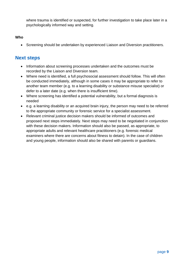where trauma is identified or suspected, for further investigation to take place later in a psychologically informed way and setting.

#### **Who**

• Screening should be undertaken by experienced Liaison and Diversion practitioners.

## **Next steps**

- Information about screening processes undertaken and the outcomes must be recorded by the Liaison and Diversion team.
- Where need is identified, a full psychosocial assessment should follow. This will often be conducted immediately, although in some cases it may be appropriate to refer to another team member (e.g. to a learning disability or substance misuse specialist) or defer to a later date (e.g. when there is insufficient time).
- Where screening has identified a potential vulnerability, but a formal diagnosis is needed
- e.g. a learning disability or an acquired brain injury, the person may need to be referred to the appropriate community or forensic service for a specialist assessment.
- Relevant criminal justice decision makers should be informed of outcomes and proposed next steps immediately. Next steps may need to be negotiated in conjunction with these decision makers. Information should also be passed, as appropriate, to appropriate adults and relevant healthcare practitioners (e.g. forensic medical examiners where there are concerns about fitness to detain). In the case of children and young people, information should also be shared with parents or guardians.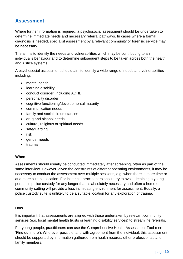## <span id="page-10-0"></span>**Assessment**

Where further information is required, a psychosocial assessment should be undertaken to determine immediate needs and necessary referral pathways. In cases where a formal diagnosis is needed, specialist assessment by a relevant community or forensic service may be necessary.

The aim is to identify the needs and vulnerabilities which may be contributing to an individual's behaviour and to determine subsequent steps to be taken across both the health and justice systems.

A psychosocial assessment should aim to identify a wide range of needs and vulnerabilities including:

- mental health
- learning disability
- conduct disorder, including ADHD
- personality disorder
- cognitive functioning/developmental maturity
- communication needs
- family and social circumstances
- drug and alcohol needs
- cultural, religious or spiritual needs
- safeguarding
- $\bullet$  risk
- gender needs
- trauma

#### **When**

Assessments should usually be conducted immediately after screening, often as part of the same interview. However, given the constraints of different operating environments, it may be necessary to conduct the assessment over multiple sessions, e.g. when there is more time or at a more suitable location. For instance, practitioners should try to avoid detaining a young person in police custody for any longer than is absolutely necessary and often a home or community setting will provide a less intimidating environment for assessment. Equally, a police custody suite is unlikely to be a suitable location for any exploration of trauma.

#### **How**

It is important that assessments are aligned with those undertaken by relevant community services (e.g. local mental health trusts or learning disability services) to streamline referrals.

For young people, practitioners can use the Comprehensive Health Assessment Tool (see 'Find out more'). Wherever possible, and with agreement from the individual, this assessment should be supported by information gathered from health records, other professionals and family members.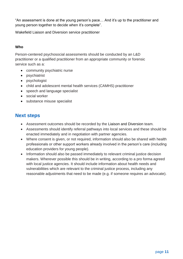"An assessment is done at the young person's pace… And it's up to the practitioner and young person together to decide when it's complete".

Wakefield Liaison and Diversion service practitioner

## **Who**

Person-centered psychosocial assessments should be conducted by an L&D practitioner or a qualified practitioner from an appropriate community or forensic service such as a:

- community psychiatric nurse
- psychiatrist
- psychologist
- child and adolescent mental health services (CAMHS) practitioner
- speech and language specialist
- social worker
- substance misuse specialist

## **Next steps**

- Assessment outcomes should be recorded by the Liaison and Diversion team.
- Assessments should identify referral pathways into local services and these should be enacted immediately and in negotiation with partner agencies.
- Where consent is given, or not required, information should also be shared with health professionals or other support workers already involved in the person's care (including education providers for young people).
- Information should also be passed immediately to relevant criminal justice decision makers. Wherever possible this should be in writing, according to a pro forma agreed with local justice agencies. It should include information about health needs and vulnerabilities which are relevant to the criminal justice process, including any reasonable adjustments that need to be made (e.g. if someone requires an advocate).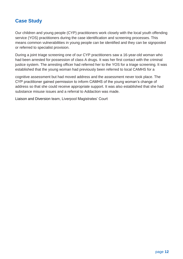## <span id="page-12-0"></span>**Case Study**

Our children and young people (CYP) practitioners work closely with the local youth offending service (YOS) practitioners during the case identification and screening processes. This means common vulnerabilities in young people can be identified and they can be signposted or referred to specialist provision.

During a joint triage screening one of our CYP practitioners saw a 16-year-old woman who had been arrested for possession of class A drugs. It was her first contact with the criminal justice system. The arresting officer had referred her to the YOS for a triage screening. It was established that the young woman had previously been referred to local CAMHS for a

cognitive assessment but had moved address and the assessment never took place. The CYP practitioner gained permission to inform CAMHS of the young woman's change of address so that she could receive appropriate support. It was also established that she had substance misuse issues and a referral to Addaction was made.

Liaison and Diversion team, Liverpool Magistrates' Court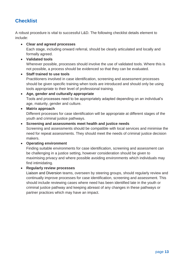# <span id="page-13-0"></span>**Checklist**

A robust procedure is vital to successful L&D. The following checklist details element to include:

**Clear and agreed processes**

Each stage, including onward referral, should be clearly articulated and locally and formally agreed.

**Validated tools**

Wherever possible, processes should involve the use of validated tools. Where this is not possible, a process should be evidenced so that they can be evaluated.

#### **Staff trained to use tools**

Practitioners involved in case identification, screening and assessment processes should be given specific training when tools are introduced and should only be using tools appropriate to their level of professional training.

 **Age, gender and culturally appropriate** Tools and processes need to be appropriately adapted depending on an individual's age, maturity, gender and culture.

#### **Matrix approach**

Different processes for case identification will be appropriate at different stages of the youth and criminal justice pathways.

#### **Screening and assessments meet health and justice needs**

Screening and assessments should be compatible with local services and minimise the need for repeat assessments. They should meet the needs of criminal justice decision makers.

## **Operating environment**

Finding suitable environments for case identification, screening and assessment can be challenging in a justice setting, however consideration should be given to maximising privacy and where possible avoiding environments which individuals may find intimidating.

## **Regularly review processes**

Liaison and Diversion teams, overseen by steering groups, should regularly review and continually improve processes for case identification, screening and assessment. This should include reviewing cases where need has been identified late in the youth or criminal justice pathway and keeping abreast of any changes in these pathways or partner practices which may have an impact.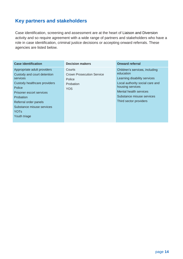# <span id="page-14-0"></span>**Key partners and stakeholders**

Case identification, screening and assessment are at the heart of Liaison and Diversion activity and so require agreement with a wide range of partners and stakeholders who have a role in case identification, criminal justice decisions or accepting onward referrals. These agencies are listed below.

| <b>Case identification</b>                                                                                                                                                                                                                     | <b>Decision makers</b>                                                          | <b>Onward referral</b>                                                                                                                                                                                              |
|------------------------------------------------------------------------------------------------------------------------------------------------------------------------------------------------------------------------------------------------|---------------------------------------------------------------------------------|---------------------------------------------------------------------------------------------------------------------------------------------------------------------------------------------------------------------|
| Appropriate adult providers<br>Custody and court detention<br>services<br>Custody healthcare providers<br>Police<br>Prisoner escort services<br>Probation<br>Referral order panels<br>Substance misuse services<br><b>YOTs</b><br>Youth triage | Courts<br><b>Crown Prosecution Service</b><br>Police<br>Probation<br><b>YOS</b> | Children's services, including<br>education<br>Learning disability services<br>Local authority social care and<br>housing services<br>Mental health services<br>Substance misuse services<br>Third sector providers |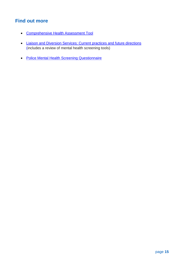# <span id="page-15-0"></span>**Find out more**

- [Comprehensive Health Assessment Tool](http://www.ohrn.nhs.uk/OHRNResearch/CHAT/)
- [Liaison and Diversion Services: Current practices and future directions](http://www.ohrn.nhs.uk/OHRNResearch/LiaseDivert.pdf) (includes a review of mental health screening tools)
- **Police Mental Health Screening Questionnaire**